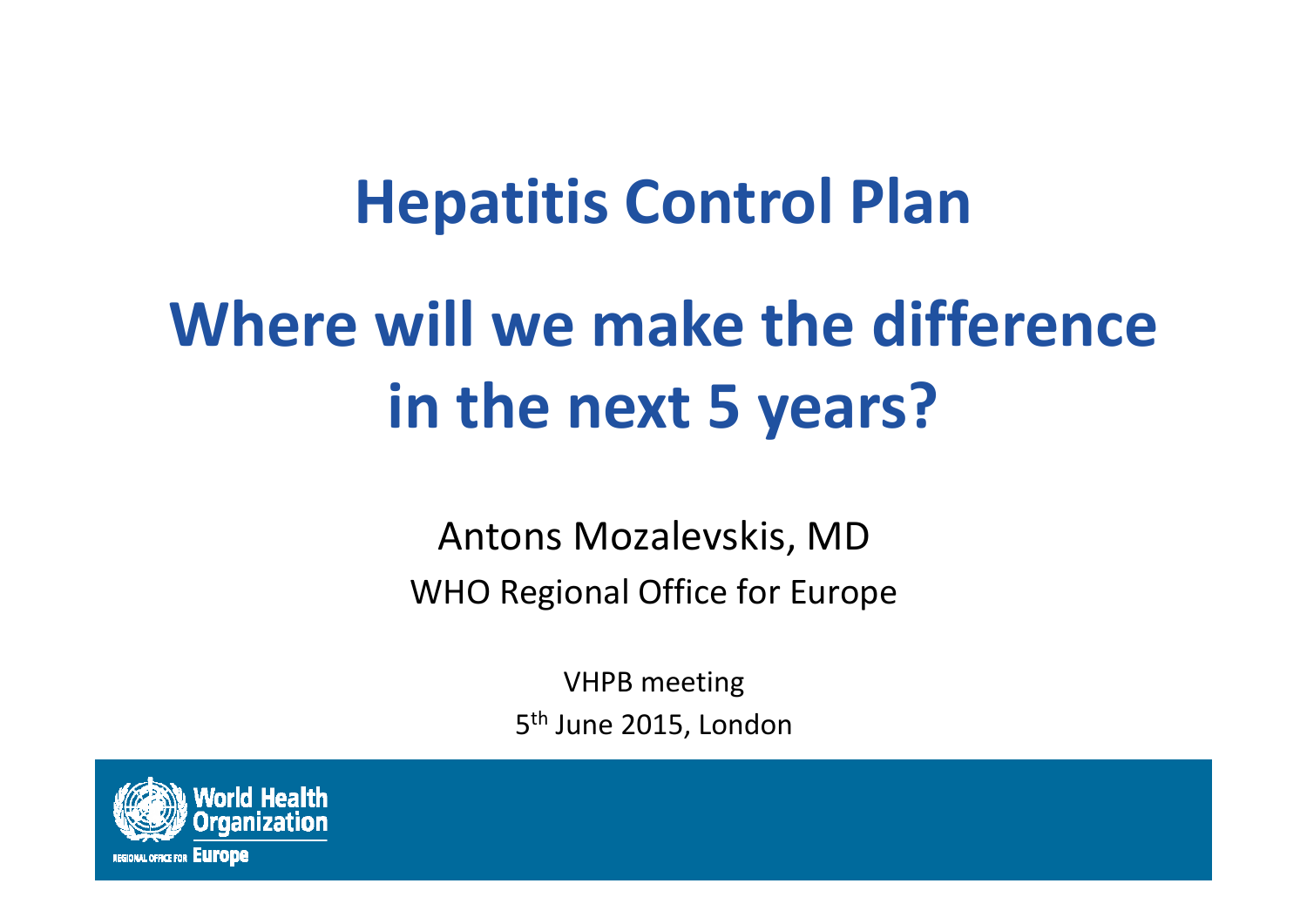## **Hepatitis Control Plan**

# **Where will we make the difference in the next 5 years?**

Antons Mozalevskis, MD WHO Regional Office for Europe

> VHPB meeting 5<sup>th</sup> June 2015, London

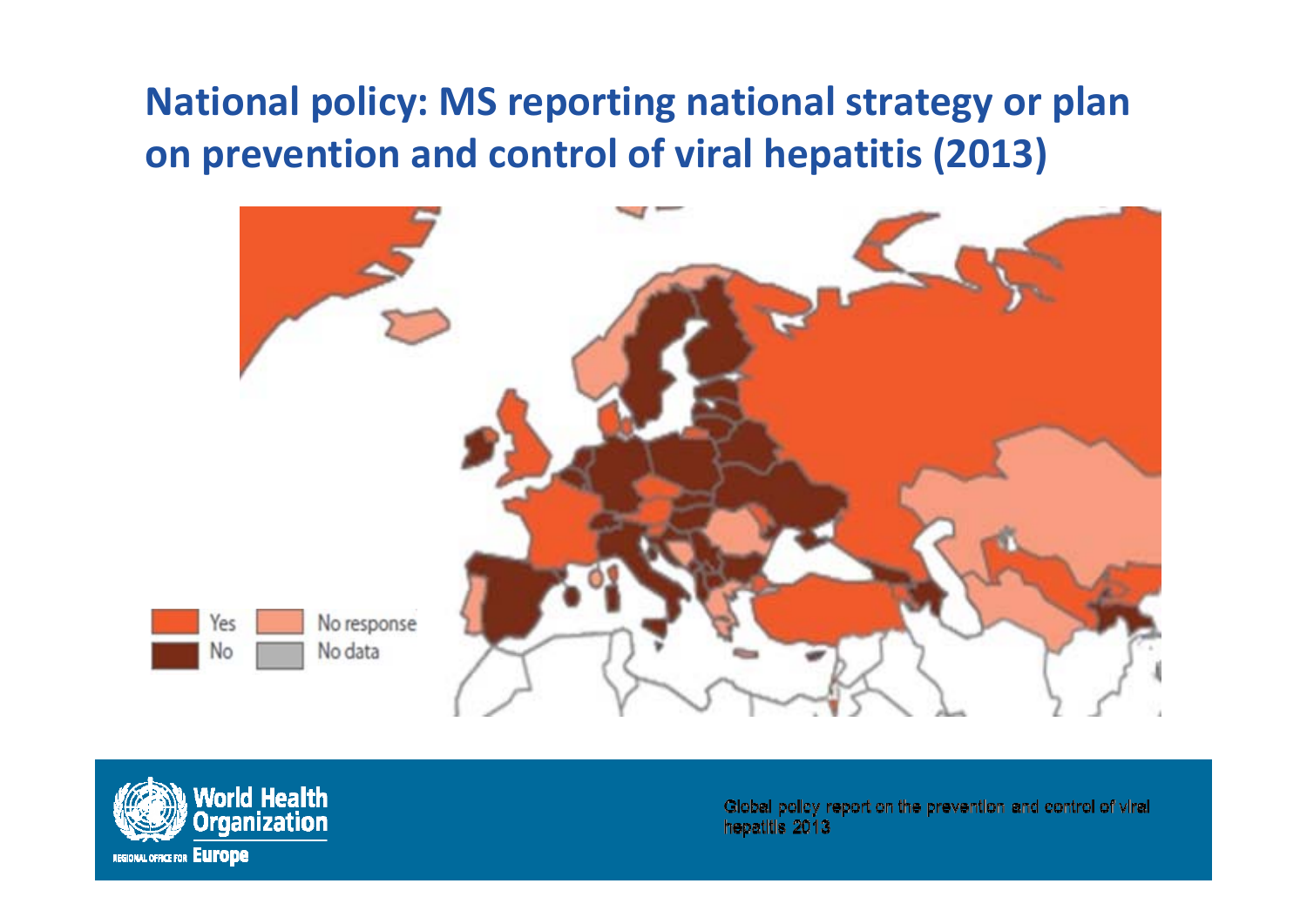#### **National policy: MS reporting national strategy or plan on prevention and control of viral hepatitis (2013)**





Global policy report on the prevention and control of viral hepatitis 2013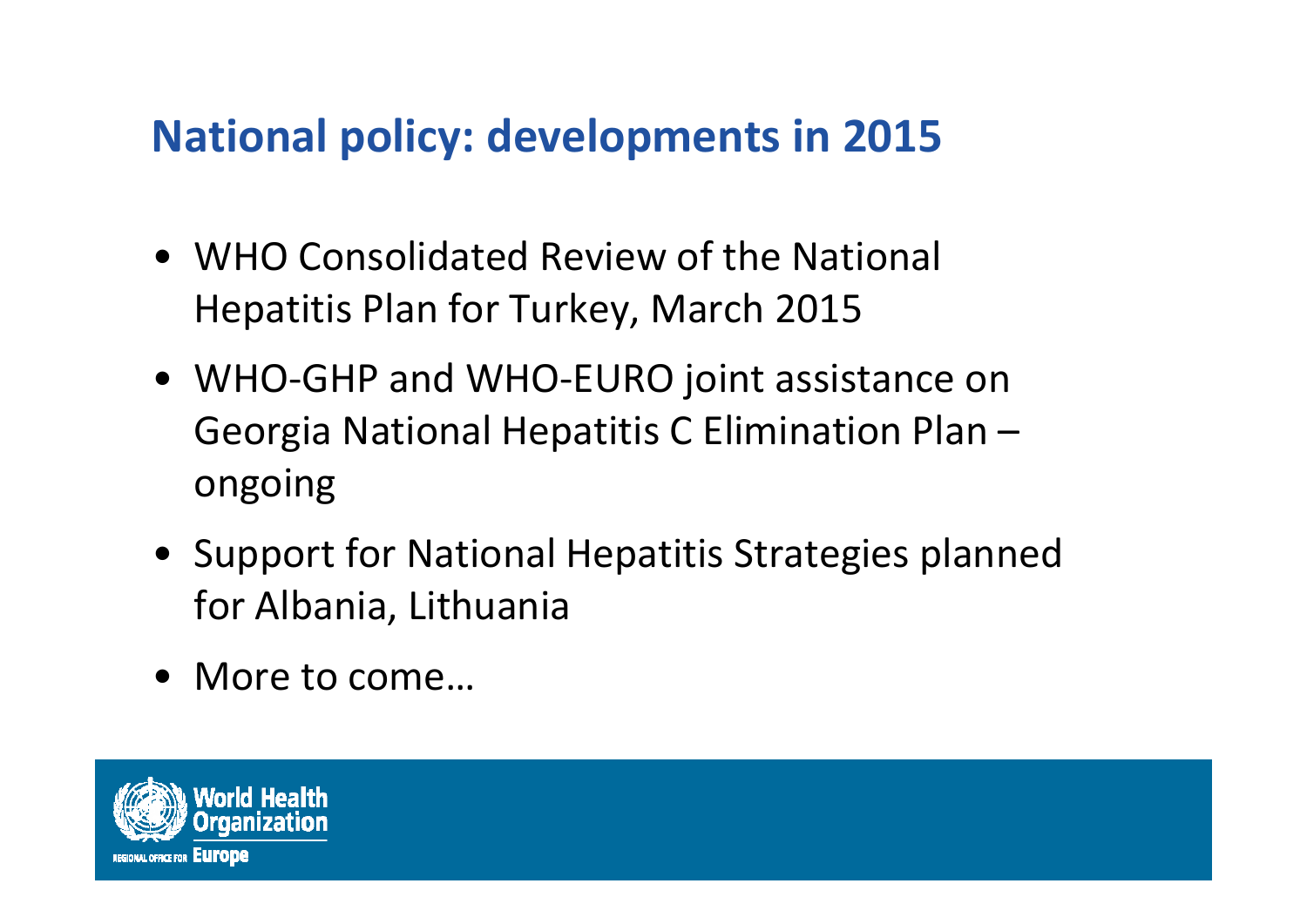#### **National policy: developments in 2015**

- WHO Consolidated Review of the National Hepatitis Plan for Turkey, March 2015
- WHO‐GHP and WHO‐EURO joint assistance on Georgia National Hepatitis C Elimination Plan – ongoing
- Support for National Hepatitis Strategies planned for Albania, Lithuania
- More to come…

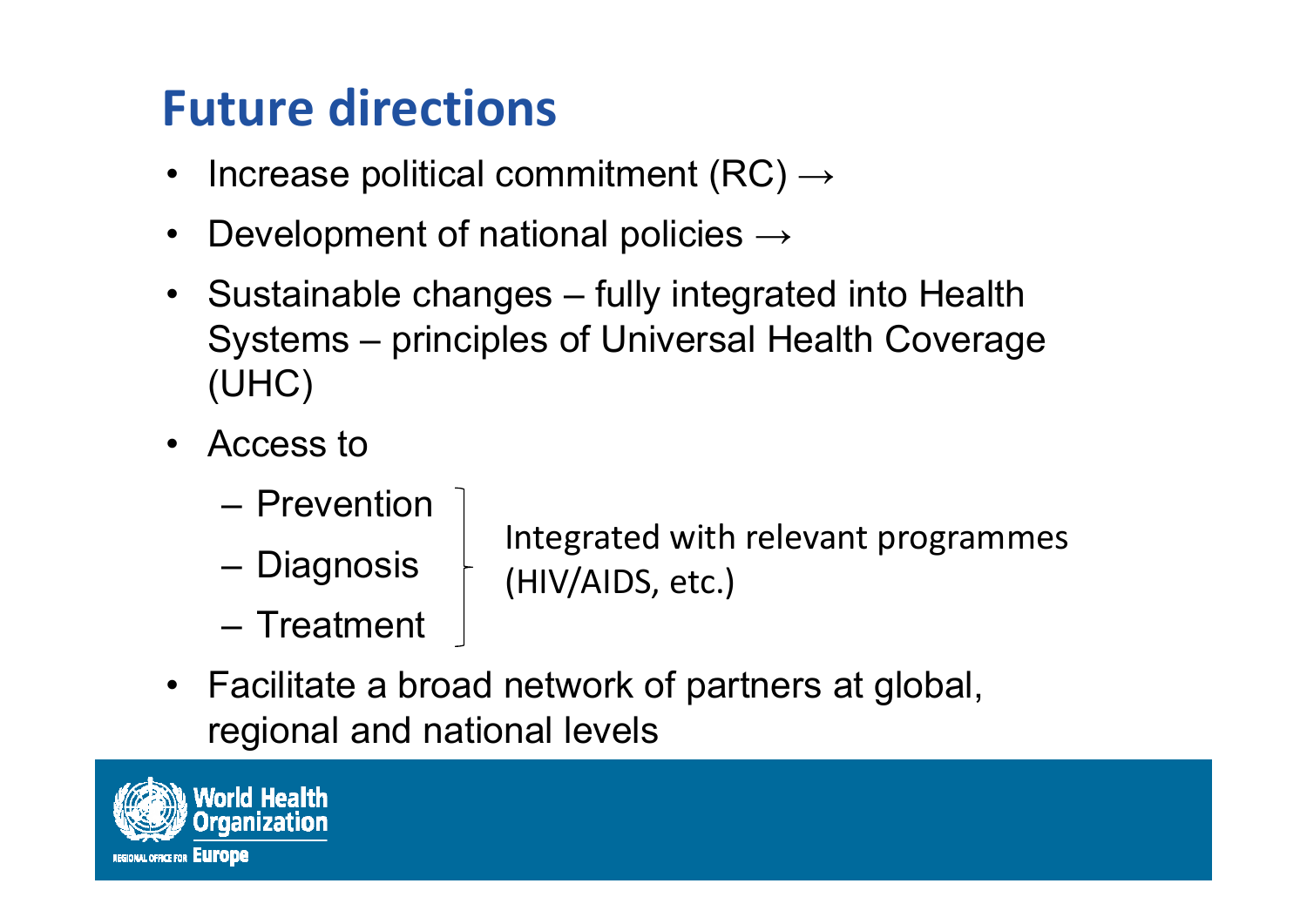## **Future directions**

- •Increase political commitment (RC)  $\rightarrow$
- $\bullet$ Development of national policies  $\rightarrow$
- Sustainable changes fully integrated into Health Systems – principles of Universal Health Coverage (UHC)
- Access to
	- Prevention
	- Diagnosis

Integrated with relevant programmes (HIV/AIDS, etc.)

- Treatment
- Facilitate a broad network of partners at global, regional and national levels

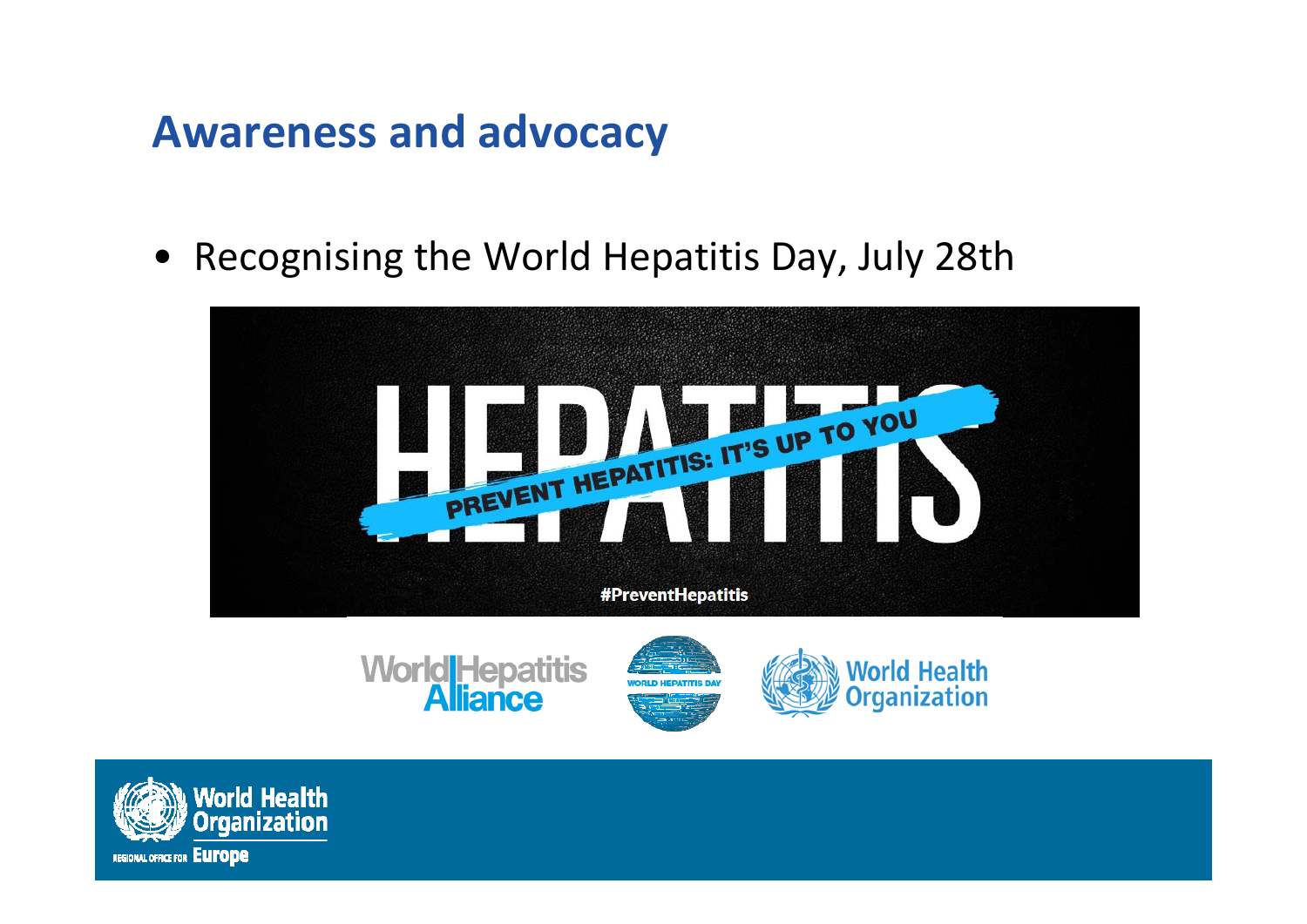#### **Awareness and advocacy**

• Recognising the World Hepatitis Day, July 28th







ianization

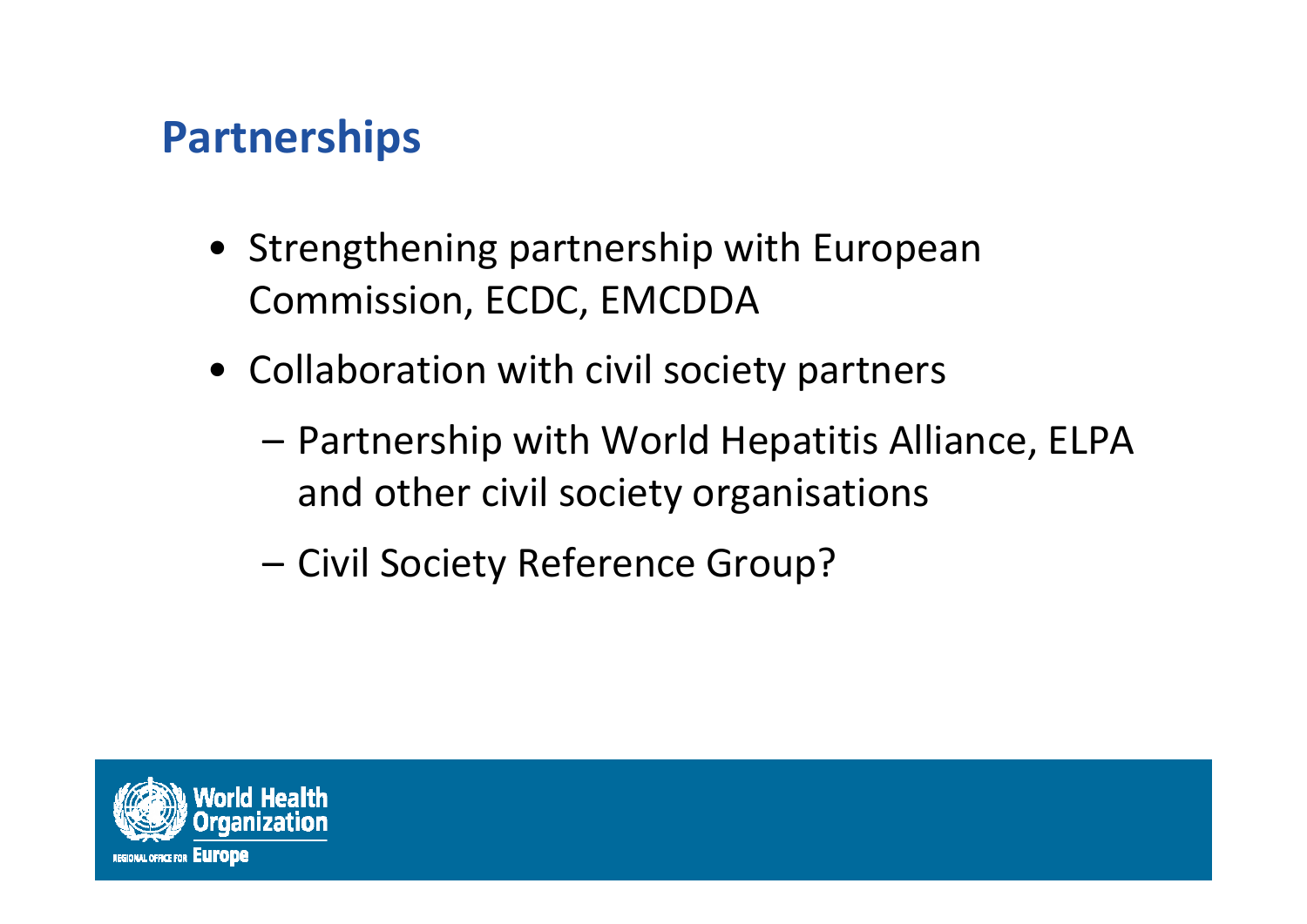#### **Partnerships**

- Strengthening partnership with European Commission, ECDC, EMCDDA
- Collaboration with civil society partners
	- – Partnership with World Hepatitis Alliance, ELPA and other civil society organisations
	- Civil Society Reference Group?

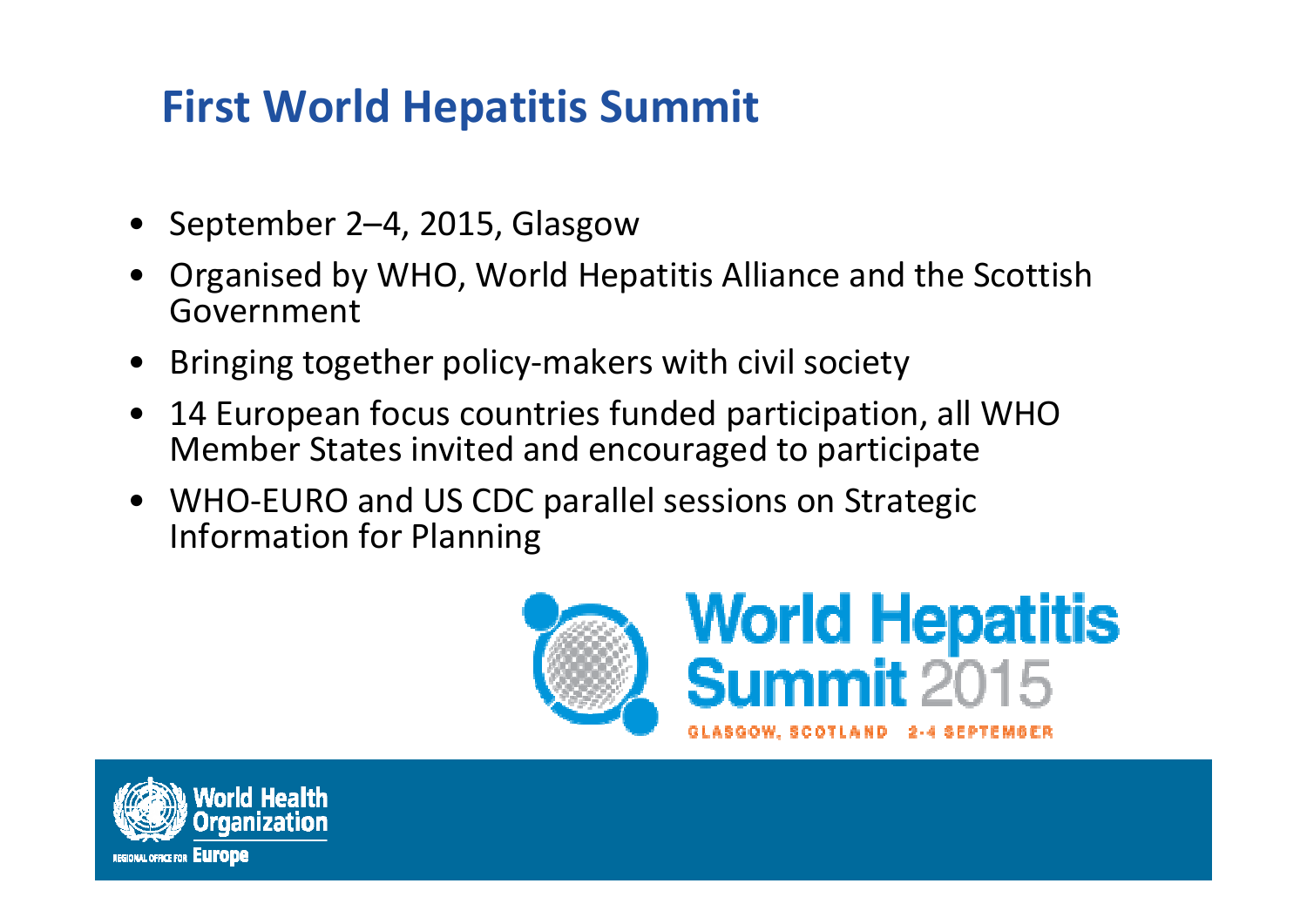#### **First World Hepatitis Summit**

- September 2–4, 2015, Glasgow
- Organised by WHO, World Hepatitis Alliance and the Scottish Government
- •Bringing together policy‐makers with civil society
- $\bullet$  14 European focus countries funded participation, all WHO Member States invited and encouraged to participate
- WHO-EURO and US CDC parallel sessions on Strategic Information for Planning



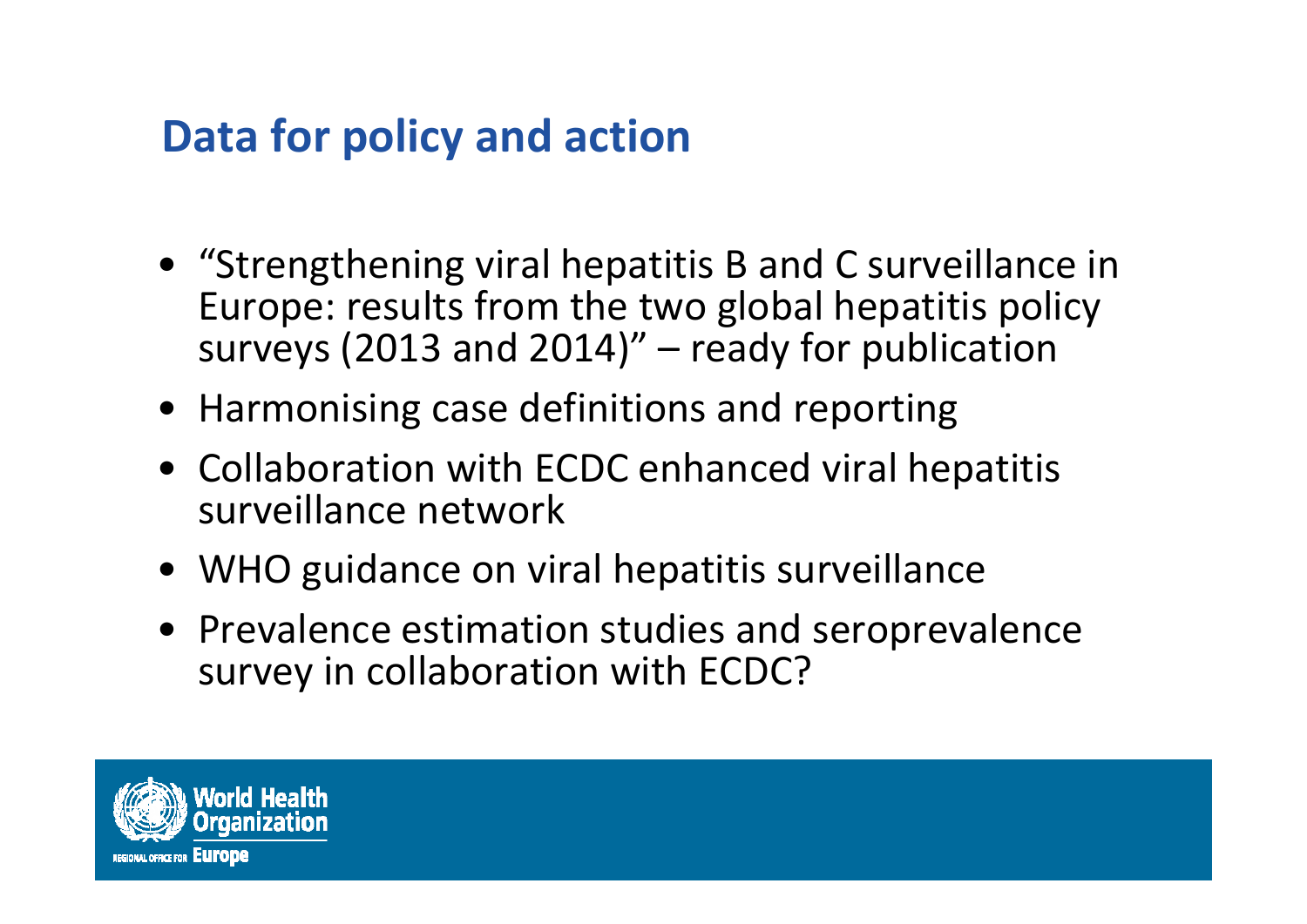#### **Data for policy and action**

- "Strengthening viral hepatitis B and C surveillance in Europe: results from the two global hepatitis policy surveys (2013 and 2014)" – ready for publication
- Harmonising case definitions and reporting
- Collaboration with ECDC enhanced viral hepatitis surveillance network
- WHO guidance on viral hepatitis surveillance
- Prevalence estimation studies and seroprevalence survey in collaboration with ECDC?

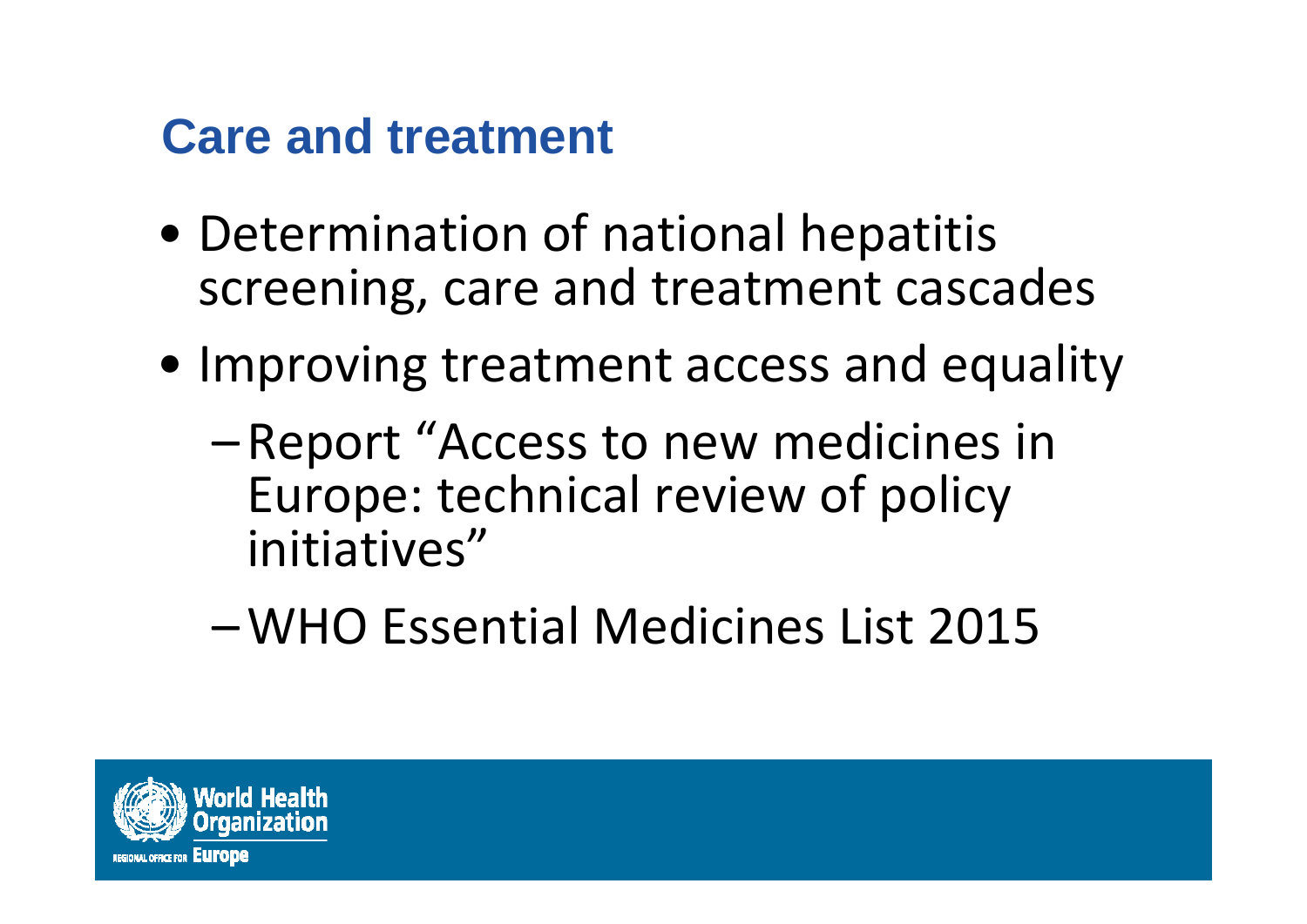### **Care and treatment**

- Determination of national hepatitis screening, care and treatment cascades
- Improving treatment access and equality
	- – Report "Access to new medicines in Europe: technical review of policy initiatives"
	- –WHO Essential Medicines List 2015